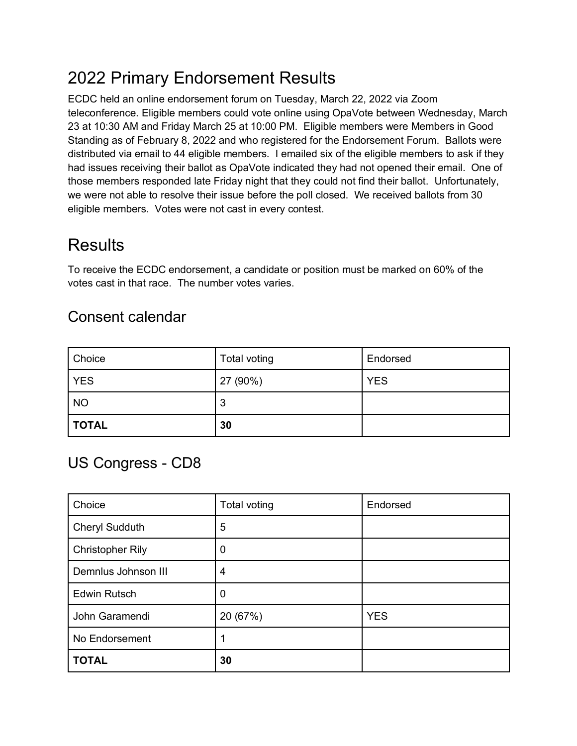# 2022 Primary Endorsement Results

ECDC held an online endorsement forum on Tuesday, March 22, 2022 via Zoom teleconference. Eligible members could vote online using OpaVote between Wednesday, March 23 at 10:30 AM and Friday March 25 at 10:00 PM. Eligible members were Members in Good Standing as of February 8, 2022 and who registered for the Endorsement Forum. Ballots were distributed via email to 44 eligible members. I emailed six of the eligible members to ask if they had issues receiving their ballot as OpaVote indicated they had not opened their email. One of those members responded late Friday night that they could not find their ballot. Unfortunately, we were not able to resolve their issue before the poll closed. We received ballots from 30 eligible members. Votes were not cast in every contest.

## **Results**

To receive the ECDC endorsement, a candidate or position must be marked on 60% of the votes cast in that race. The number votes varies.

### Consent calendar

| Choice       | Total voting | Endorsed   |
|--------------|--------------|------------|
| <b>YES</b>   | 27 (90%)     | <b>YES</b> |
| <b>NO</b>    | 3            |            |
| <b>TOTAL</b> | 30           |            |

### US Congress - CD8

| Choice                  | Total voting     | Endorsed   |
|-------------------------|------------------|------------|
| <b>Cheryl Sudduth</b>   | 5                |            |
| <b>Christopher Rily</b> | $\boldsymbol{0}$ |            |
| Demnlus Johnson III     | 4                |            |
| <b>Edwin Rutsch</b>     | $\boldsymbol{0}$ |            |
| John Garamendi          | 20 (67%)         | <b>YES</b> |
| No Endorsement          |                  |            |
| <b>TOTAL</b>            | 30               |            |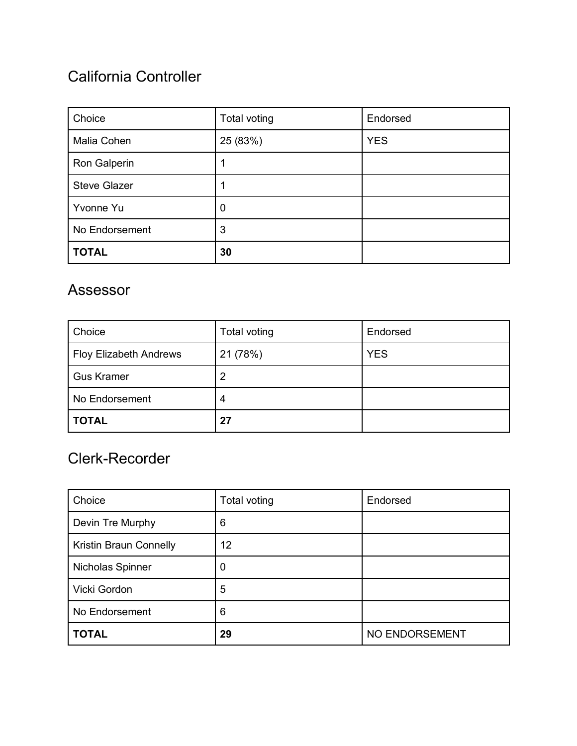### California Controller

| Choice              | Total voting | Endorsed   |
|---------------------|--------------|------------|
| Malia Cohen         | 25 (83%)     | <b>YES</b> |
| Ron Galperin        |              |            |
| <b>Steve Glazer</b> |              |            |
| Yvonne Yu           | 0            |            |
| No Endorsement      | 3            |            |
| <b>TOTAL</b>        | 30           |            |

#### Assessor

| Choice                        | Total voting | Endorsed   |
|-------------------------------|--------------|------------|
| <b>Floy Elizabeth Andrews</b> | 21 (78%)     | <b>YES</b> |
| <b>Gus Kramer</b>             | 2            |            |
| No Endorsement                | 4            |            |
| <b>TOTAL</b>                  | 27           |            |

### Clerk-Recorder

| Choice                 | Total voting | Endorsed       |
|------------------------|--------------|----------------|
| Devin Tre Murphy       | 6            |                |
| Kristin Braun Connelly | 12           |                |
| Nicholas Spinner       | 0            |                |
| Vicki Gordon           | 5            |                |
| No Endorsement         | 6            |                |
| <b>TOTAL</b>           | 29           | NO ENDORSEMENT |